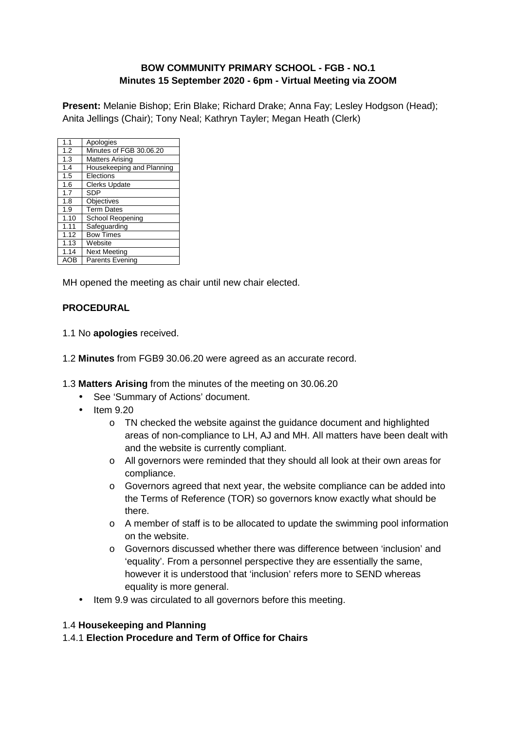#### **BOW COMMUNITY PRIMARY SCHOOL - FGB - NO.1 Minutes 15 September 2020 - 6pm - Virtual Meeting via ZOOM**

**Present:** Melanie Bishop; Erin Blake; Richard Drake; Anna Fay; Lesley Hodgson (Head); Anita Jellings (Chair); Tony Neal; Kathryn Tayler; Megan Heath (Clerk)

| 1.1  | Apologies                 |
|------|---------------------------|
| 1.2  | Minutes of FGB 30.06.20   |
| 1.3  | <b>Matters Arising</b>    |
| 1.4  | Housekeeping and Planning |
| 1.5  | Elections                 |
| 1.6  | Clerks Update             |
| 1.7  | <b>SDP</b>                |
| 1.8  | Objectives                |
| 1.9  | <b>Term Dates</b>         |
| 1.10 | School Reopening          |
| 1.11 | Safeguarding              |
| 1.12 | <b>Bow Times</b>          |
| 1.13 | Website                   |
| 1.14 | <b>Next Meeting</b>       |
| AOB  | <b>Parents Evening</b>    |

MH opened the meeting as chair until new chair elected.

#### **PROCEDURAL**

- 1.1 No **apologies** received.
- 1.2 **Minutes** from FGB9 30.06.20 were agreed as an accurate record.
- 1.3 **Matters Arising** from the minutes of the meeting on 30.06.20
	- See 'Summary of Actions' document.
	- Item 9.20
		- o TN checked the website against the guidance document and highlighted areas of non-compliance to LH, AJ and MH. All matters have been dealt with and the website is currently compliant.
		- o All governors were reminded that they should all look at their own areas for compliance.
		- o Governors agreed that next year, the website compliance can be added into the Terms of Reference (TOR) so governors know exactly what should be there.
		- o A member of staff is to be allocated to update the swimming pool information on the website.
		- o Governors discussed whether there was difference between 'inclusion' and 'equality'. From a personnel perspective they are essentially the same, however it is understood that 'inclusion' refers more to SEND whereas equality is more general.
	- Item 9.9 was circulated to all governors before this meeting.

#### 1.4 **Housekeeping and Planning**

1.4.1 **Election Procedure and Term of Office for Chairs**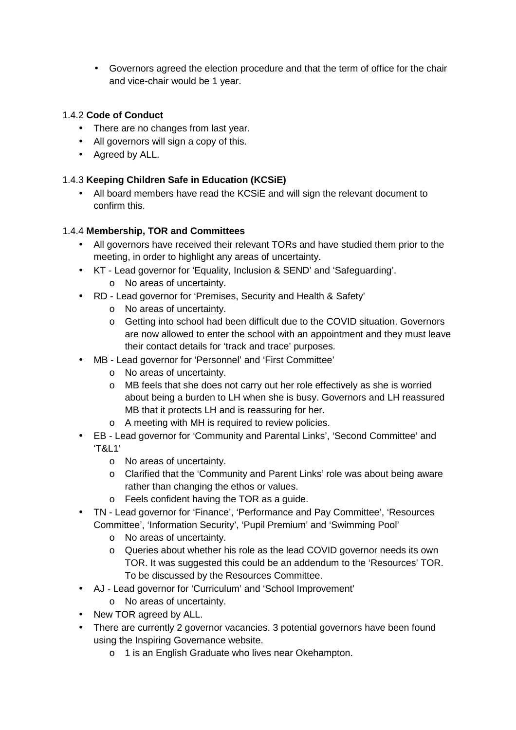• Governors agreed the election procedure and that the term of office for the chair and vice-chair would be 1 year.

### 1.4.2 **Code of Conduct**

- There are no changes from last year.
- All governors will sign a copy of this.
- Agreed by ALL.

#### 1.4.3 **Keeping Children Safe in Education (KCSiE)**

• All board members have read the KCSiE and will sign the relevant document to confirm this.

#### 1.4.4 **Membership, TOR and Committees**

- All governors have received their relevant TORs and have studied them prior to the meeting, in order to highlight any areas of uncertainty.
- KT Lead governor for 'Equality, Inclusion & SEND' and 'Safeguarding'.
	- o No areas of uncertainty.
- RD Lead governor for 'Premises, Security and Health & Safety'
	- o No areas of uncertainty.
	- o Getting into school had been difficult due to the COVID situation. Governors are now allowed to enter the school with an appointment and they must leave their contact details for 'track and trace' purposes.
- MB Lead governor for 'Personnel' and 'First Committee'
	- o No areas of uncertainty.
	- o MB feels that she does not carry out her role effectively as she is worried about being a burden to LH when she is busy. Governors and LH reassured MB that it protects LH and is reassuring for her.
	- o A meeting with MH is required to review policies.
- EB Lead governor for 'Community and Parental Links', 'Second Committee' and 'T&L1'
	- o No areas of uncertainty.
	- o Clarified that the 'Community and Parent Links' role was about being aware rather than changing the ethos or values.
	- o Feels confident having the TOR as a guide.
- TN Lead governor for 'Finance', 'Performance and Pay Committee', 'Resources Committee', 'Information Security', 'Pupil Premium' and 'Swimming Pool'
	- o No areas of uncertainty.
	- o Queries about whether his role as the lead COVID governor needs its own TOR. It was suggested this could be an addendum to the 'Resources' TOR. To be discussed by the Resources Committee.
- AJ Lead governor for 'Curriculum' and 'School Improvement'
	- o No areas of uncertainty.
- New TOR agreed by ALL.
- There are currently 2 governor vacancies. 3 potential governors have been found using the Inspiring Governance website.
	- o 1 is an English Graduate who lives near Okehampton.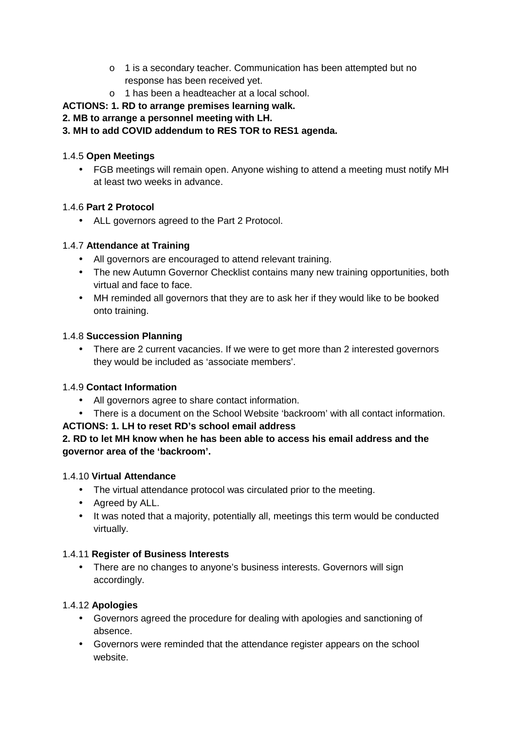- o 1 is a secondary teacher. Communication has been attempted but no response has been received yet.
- o 1 has been a headteacher at a local school.

# **ACTIONS: 1. RD to arrange premises learning walk.**

## **2. MB to arrange a personnel meeting with LH.**

# **3. MH to add COVID addendum to RES TOR to RES1 agenda.**

## 1.4.5 **Open Meetings**

• FGB meetings will remain open. Anyone wishing to attend a meeting must notify MH at least two weeks in advance.

## 1.4.6 **Part 2 Protocol**

• ALL governors agreed to the Part 2 Protocol.

## 1.4.7 **Attendance at Training**

- All governors are encouraged to attend relevant training.
- The new Autumn Governor Checklist contains many new training opportunities, both virtual and face to face.
- MH reminded all governors that they are to ask her if they would like to be booked onto training.

### 1.4.8 **Succession Planning**

• There are 2 current vacancies. If we were to get more than 2 interested governors they would be included as 'associate members'.

## 1.4.9 **Contact Information**

- All governors agree to share contact information.
- There is a document on the School Website 'backroom' with all contact information.

## **ACTIONS: 1. LH to reset RD's school email address**

## **2. RD to let MH know when he has been able to access his email address and the governor area of the 'backroom'.**

## 1.4.10 **Virtual Attendance**

- The virtual attendance protocol was circulated prior to the meeting.
- Agreed by ALL.
- It was noted that a majority, potentially all, meetings this term would be conducted virtually.

## 1.4.11 **Register of Business Interests**

• There are no changes to anyone's business interests. Governors will sign accordingly.

## 1.4.12 **Apologies**

- Governors agreed the procedure for dealing with apologies and sanctioning of absence.
- Governors were reminded that the attendance register appears on the school website.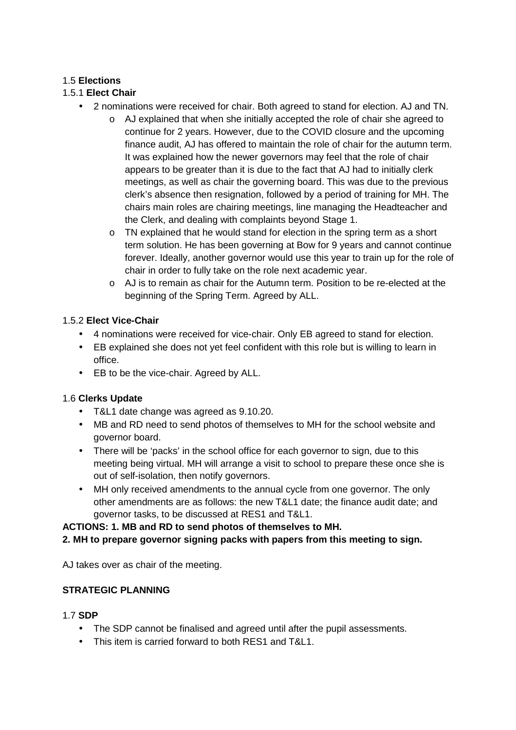#### 1.5 **Elections**

### 1.5.1 **Elect Chair**

- 2 nominations were received for chair. Both agreed to stand for election. AJ and TN.
	- o AJ explained that when she initially accepted the role of chair she agreed to continue for 2 years. However, due to the COVID closure and the upcoming finance audit, AJ has offered to maintain the role of chair for the autumn term. It was explained how the newer governors may feel that the role of chair appears to be greater than it is due to the fact that AJ had to initially clerk meetings, as well as chair the governing board. This was due to the previous clerk's absence then resignation, followed by a period of training for MH. The chairs main roles are chairing meetings, line managing the Headteacher and the Clerk, and dealing with complaints beyond Stage 1.
	- o TN explained that he would stand for election in the spring term as a short term solution. He has been governing at Bow for 9 years and cannot continue forever. Ideally, another governor would use this year to train up for the role of chair in order to fully take on the role next academic year.
	- o AJ is to remain as chair for the Autumn term. Position to be re-elected at the beginning of the Spring Term. Agreed by ALL.

#### 1.5.2 **Elect Vice-Chair**

- 4 nominations were received for vice-chair. Only EB agreed to stand for election.
- EB explained she does not yet feel confident with this role but is willing to learn in office.
- EB to be the vice-chair. Agreed by ALL.

#### 1.6 **Clerks Update**

- T&L1 date change was agreed as 9.10.20.
- MB and RD need to send photos of themselves to MH for the school website and governor board.
- There will be 'packs' in the school office for each governor to sign, due to this meeting being virtual. MH will arrange a visit to school to prepare these once she is out of self-isolation, then notify governors.
- MH only received amendments to the annual cycle from one governor. The only other amendments are as follows: the new T&L1 date; the finance audit date; and governor tasks, to be discussed at RES1 and T&L1.

## **ACTIONS: 1. MB and RD to send photos of themselves to MH.**

#### **2. MH to prepare governor signing packs with papers from this meeting to sign.**

AJ takes over as chair of the meeting.

#### **STRATEGIC PLANNING**

#### 1.7 **SDP**

- The SDP cannot be finalised and agreed until after the pupil assessments.
- This item is carried forward to both RES1 and T&L1.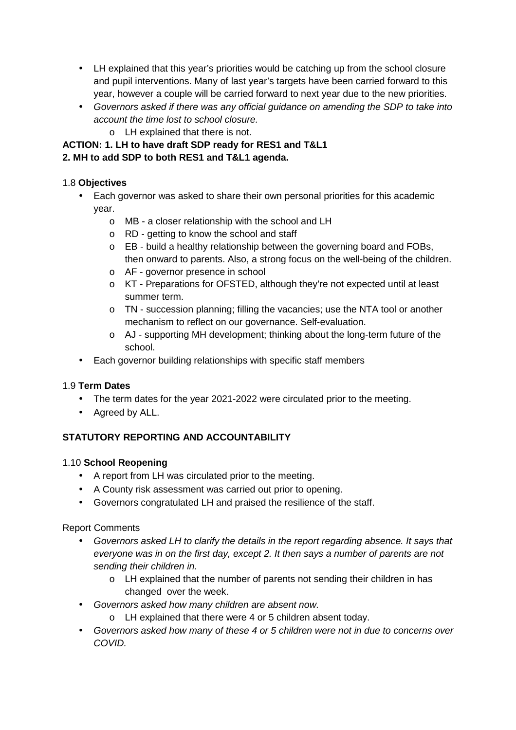- LH explained that this year's priorities would be catching up from the school closure and pupil interventions. Many of last year's targets have been carried forward to this year, however a couple will be carried forward to next year due to the new priorities.
- Governors asked if there was any official guidance on amending the SDP to take into account the time lost to school closure.
	- o LH explained that there is not.

# **ACTION: 1. LH to have draft SDP ready for RES1 and T&L1**

## **2. MH to add SDP to both RES1 and T&L1 agenda.**

## 1.8 **Objectives**

- Each governor was asked to share their own personal priorities for this academic year.
	- o MB a closer relationship with the school and LH
	- o RD getting to know the school and staff
	- o EB build a healthy relationship between the governing board and FOBs, then onward to parents. Also, a strong focus on the well-being of the children.
	- o AF governor presence in school
	- o KT Preparations for OFSTED, although they're not expected until at least summer term.
	- o TN succession planning; filling the vacancies; use the NTA tool or another mechanism to reflect on our governance. Self-evaluation.
	- o AJ supporting MH development; thinking about the long-term future of the school.
- Each governor building relationships with specific staff members

## 1.9 **Term Dates**

- The term dates for the year 2021-2022 were circulated prior to the meeting.
- Agreed by ALL.

# **STATUTORY REPORTING AND ACCOUNTABILITY**

## 1.10 **School Reopening**

- A report from LH was circulated prior to the meeting.
- A County risk assessment was carried out prior to opening.
- Governors congratulated LH and praised the resilience of the staff.

## Report Comments

- Governors asked LH to clarify the details in the report regarding absence. It says that everyone was in on the first day, except 2. It then says a number of parents are not sending their children in.
	- o LH explained that the number of parents not sending their children in has changed over the week.
- Governors asked how many children are absent now.
	- o LH explained that there were 4 or 5 children absent today.
- Governors asked how many of these 4 or 5 children were not in due to concerns over COVID.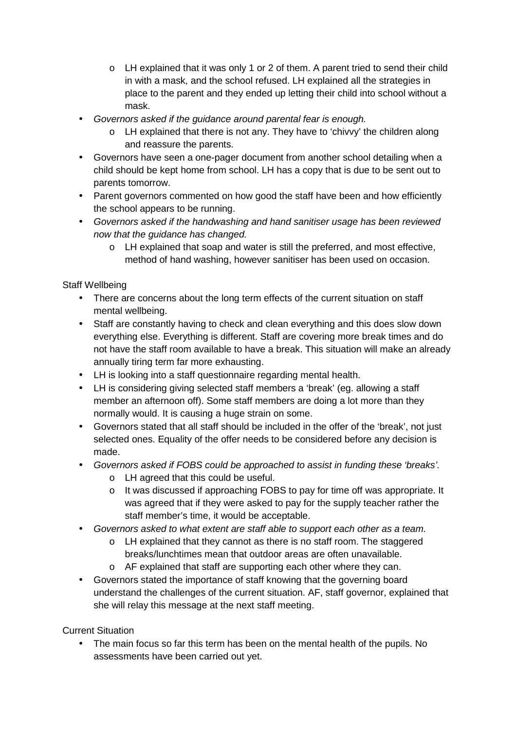- o LH explained that it was only 1 or 2 of them. A parent tried to send their child in with a mask, and the school refused. LH explained all the strategies in place to the parent and they ended up letting their child into school without a mask.
- Governors asked if the guidance around parental fear is enough.
	- $\circ$  LH explained that there is not any. They have to 'chivvy' the children along and reassure the parents.
- Governors have seen a one-pager document from another school detailing when a child should be kept home from school. LH has a copy that is due to be sent out to parents tomorrow.
- Parent governors commented on how good the staff have been and how efficiently the school appears to be running.
- Governors asked if the handwashing and hand sanitiser usage has been reviewed now that the guidance has changed.
	- o LH explained that soap and water is still the preferred, and most effective, method of hand washing, however sanitiser has been used on occasion.

## Staff Wellbeing

- There are concerns about the long term effects of the current situation on staff mental wellbeing.
- Staff are constantly having to check and clean everything and this does slow down everything else. Everything is different. Staff are covering more break times and do not have the staff room available to have a break. This situation will make an already annually tiring term far more exhausting.
- LH is looking into a staff questionnaire regarding mental health.
- LH is considering giving selected staff members a 'break' (eg. allowing a staff member an afternoon off). Some staff members are doing a lot more than they normally would. It is causing a huge strain on some.
- Governors stated that all staff should be included in the offer of the 'break', not just selected ones. Equality of the offer needs to be considered before any decision is made.
- Governors asked if FOBS could be approached to assist in funding these 'breaks'.
	- o LH agreed that this could be useful.
	- o It was discussed if approaching FOBS to pay for time off was appropriate. It was agreed that if they were asked to pay for the supply teacher rather the staff member's time, it would be acceptable.
- Governors asked to what extent are staff able to support each other as a team.
	- o LH explained that they cannot as there is no staff room. The staggered breaks/lunchtimes mean that outdoor areas are often unavailable.
	- o AF explained that staff are supporting each other where they can.
- Governors stated the importance of staff knowing that the governing board understand the challenges of the current situation. AF, staff governor, explained that she will relay this message at the next staff meeting.

Current Situation

• The main focus so far this term has been on the mental health of the pupils. No assessments have been carried out yet.